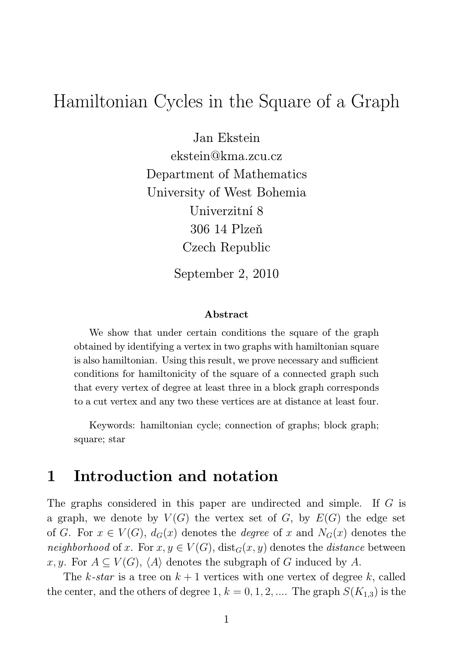## Hamiltonian Cycles in the Square of a Graph

Jan Ekstein ekstein@kma.zcu.cz Department of Mathematics University of West Bohemia Univerzitní 8 306 14 Plzeň Czech Republic

September 2, 2010

#### Abstract

We show that under certain conditions the square of the graph obtained by identifying a vertex in two graphs with hamiltonian square is also hamiltonian. Using this result, we prove necessary and sufficient conditions for hamiltonicity of the square of a connected graph such that every vertex of degree at least three in a block graph corresponds to a cut vertex and any two these vertices are at distance at least four.

Keywords: hamiltonian cycle; connection of graphs; block graph; square; star

## 1 Introduction and notation

The graphs considered in this paper are undirected and simple. If G is a graph, we denote by  $V(G)$  the vertex set of G, by  $E(G)$  the edge set of G. For  $x \in V(G)$ ,  $d_G(x)$  denotes the *degree* of x and  $N_G(x)$  denotes the *neighborhood* of x. For  $x, y \in V(G)$ ,  $dist_G(x, y)$  denotes the *distance* between x, y. For  $A \subseteq V(G)$ ,  $\langle A \rangle$  denotes the subgraph of G induced by A.

The k-star is a tree on  $k+1$  vertices with one vertex of degree k, called the center, and the others of degree 1,  $k = 0, 1, 2, ...$  The graph  $S(K_{1,3})$  is the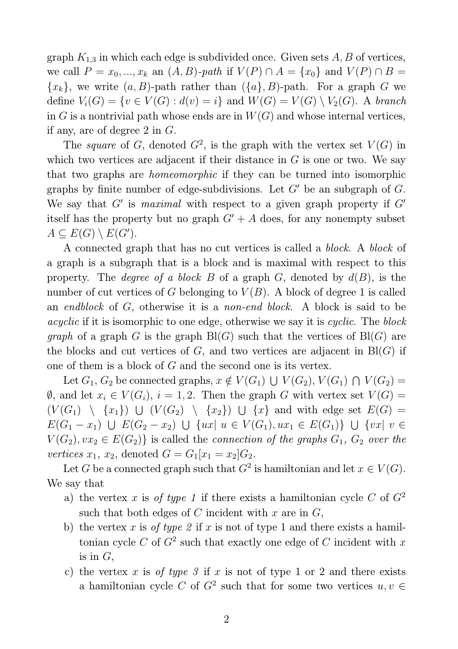graph  $K_{1,3}$  in which each edge is subdivided once. Given sets  $A, B$  of vertices, we call  $P = x_0, ..., x_k$  an  $(A, B)$ *-path* if  $V(P) \cap A = \{x_0\}$  and  $V(P) \cap B =$  ${x_k}$ , we write  $(a, B)$ -path rather than  $({a}, B)$ -path. For a graph G we define  $V_i(G) = \{v \in V(G) : d(v) = i\}$  and  $W(G) = V(G) \setminus V_2(G)$ . A *branch* in G is a nontrivial path whose ends are in  $W(G)$  and whose internal vertices, if any, are of degree 2 in G.

The *square* of G, denoted  $G^2$ , is the graph with the vertex set  $V(G)$  in which two vertices are adjacent if their distance in  $G$  is one or two. We say that two graphs are *homeomorphic* if they can be turned into isomorphic graphs by finite number of edge-subdivisions. Let  $G'$  be an subgraph of  $G$ . We say that  $G'$  is *maximal* with respect to a given graph property if  $G'$ itself has the property but no graph  $G' + A$  does, for any nonempty subset  $A \subseteq E(G) \setminus E(G')$ .

A connected graph that has no cut vertices is called a *block*. A *block* of a graph is a subgraph that is a block and is maximal with respect to this property. The *degree of a block*  $B$  of a graph  $G$ , denoted by  $d(B)$ , is the number of cut vertices of G belonging to  $V(B)$ . A block of degree 1 is called an *endblock* of G, otherwise it is a *non-end block*. A block is said to be *acyclic* if it is isomorphic to one edge, otherwise we say it is *cyclic*. The *block graph* of a graph G is the graph  $Bl(G)$  such that the vertices of  $Bl(G)$  are the blocks and cut vertices of  $G$ , and two vertices are adjacent in  $Bl(G)$  if one of them is a block of G and the second one is its vertex.

Let  $G_1, G_2$  be connected graphs,  $x \notin V(G_1) \cup V(G_2), V(G_1) \cap V(G_2) =$  $\emptyset$ , and let  $x_i \in V(G_i)$ ,  $i = 1, 2$ . Then the graph G with vertex set  $V(G)$  =  $(V(G_1) \setminus \{x_1\}) \cup (V(G_2) \setminus \{x_2\}) \cup \{x\}$  and with edge set  $E(G)$  =  $E(G_1 - x_1)$  ∪  $E(G_2 - x_2)$  ∪ { $ux | u \in V(G_1), ux_1 \in E(G_1)$ } ∪ { $vx | v \in$  $V(G_2), vx_2 \in E(G_2)$  is called the *connection of the graphs*  $G_1$ ,  $G_2$  *over the vertices*  $x_1, x_2$ , denoted  $G = G_1[x_1 = x_2]G_2$ .

Let G be a connected graph such that  $G^2$  is hamiltonian and let  $x \in V(G)$ . We say that

- a) the vertex x is *of type 1* if there exists a hamiltonian cycle C of  $G<sup>2</sup>$ such that both edges of  $C$  incident with  $x$  are in  $G$ ,
- b) the vertex x is *of type 2* if x is not of type 1 and there exists a hamiltonian cycle C of  $G^2$  such that exactly one edge of C incident with x is in  $G$ ,
- c) the vertex x is *of type 3* if x is not of type 1 or 2 and there exists a hamiltonian cycle C of  $G^2$  such that for some two vertices  $u, v \in$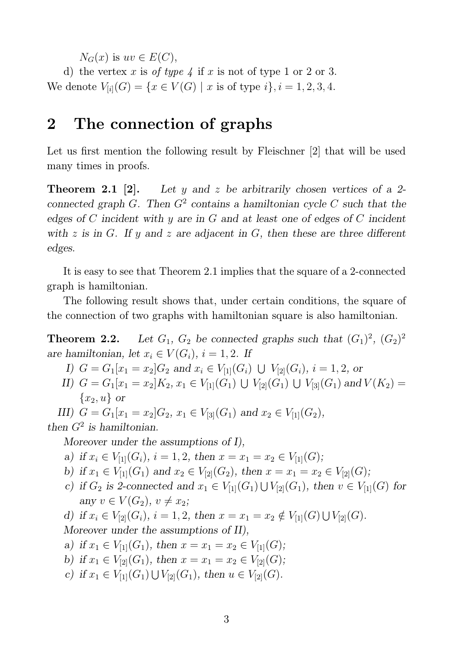$N_G(x)$  is  $uv \in E(C)$ ,

d) the vertex x is *of type*  $\frac{1}{4}$  if x is not of type 1 or 2 or 3. We denote  $V_{[i]}(G) = \{x \in V(G) \mid x \text{ is of type } i\}, i = 1, 2, 3, 4.$ 

## 2 The connection of graphs

Let us first mention the following result by Fleischner [2] that will be used many times in proofs.

**Theorem 2.1** [2]. Let y and z be arbitrarily chosen vertices of a 2connected graph  $G$ . Then  $G^2$  contains a hamiltonian cycle C such that the edges of  $C$  incident with  $y$  are in  $G$  and at least one of edges of  $C$  incident with z is in G. If y and z are adjacent in G, then these are three different edges.

It is easy to see that Theorem 2.1 implies that the square of a 2-connected graph is hamiltonian.

The following result shows that, under certain conditions, the square of the connection of two graphs with hamiltonian square is also hamiltonian.

**Theorem 2.2.** Let  $G_1$ ,  $G_2$  be connected graphs such that  $(G_1)^2$ ,  $(G_2)^2$ are hamiltonian, let  $x_i \in V(G_i)$ ,  $i = 1, 2$ . If

I)  $G = G_1[x_1 = x_2]G_2$  and  $x_i \in V_{[1]}(G_i) \cup V_{[2]}(G_i)$ ,  $i = 1, 2$ , or

II)  $G = G_1[x_1 = x_2]K_2, x_1 \in V_{[1]}(G_1) \cup V_{[2]}(G_1) \cup V_{[3]}(G_1)$  and  $V(K_2) =$  ${x_2, u}$  or

III)  $G = G_1[x_1 = x_2]G_2$ ,  $x_1 \in V_{3}(G_1)$  and  $x_2 \in V_{1}(G_2)$ , then  $G^2$  is hamiltonian.

Moreover under the assumptions of I),

- a) if  $x_i \in V_{[1]}(G_i)$ ,  $i = 1, 2$ , then  $x = x_1 = x_2 \in V_{[1]}(G)$ ;
- b) if  $x_1 \in V_{[1]}(G_1)$  and  $x_2 \in V_{[2]}(G_2)$ , then  $x = x_1 = x_2 \in V_{[2]}(G)$ ;
- c) if  $G_2$  is 2-connected and  $x_1 \in V_{[1]}(G_1) \cup V_{[2]}(G_1)$ , then  $v \in V_{[1]}(G)$  for any  $v \in V(G_2)$ ,  $v \neq x_2$ ;

d) if 
$$
x_i \in V_{[2]}(G_i)
$$
,  $i = 1, 2$ , then  $x = x_1 = x_2 \notin V_{[1]}(G) \cup V_{[2]}(G)$ . Moreover under the assumptions of II),

a) if  $x_1 \in V_{[1]}(G_1)$ , then  $x = x_1 = x_2 \in V_{[1]}(G)$ ;

- b) if  $x_1 \in V_{2}(\mathbb{G}_1)$ , then  $x = x_1 = x_2 \in V_{2}(\mathbb{G});$
- c) if  $x_1 \in V_{[1]}(G_1) \cup V_{[2]}(G_1)$ , then  $u \in V_{[2]}(G)$ .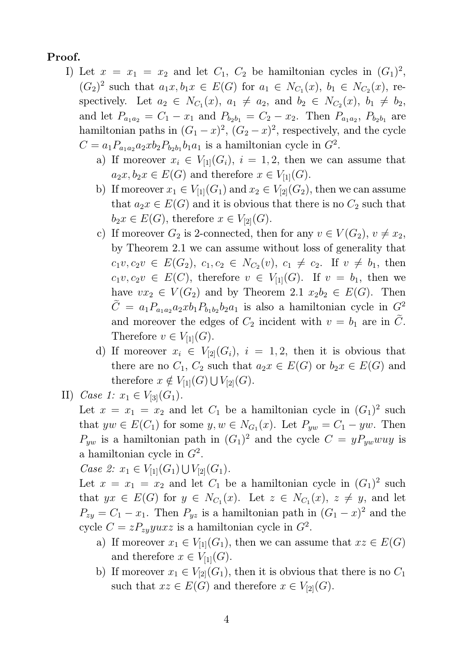#### Proof.

- I) Let  $x = x_1 = x_2$  and let  $C_1$ ,  $C_2$  be hamiltonian cycles in  $(G_1)^2$ ,  $(G_2)^2$  such that  $a_1x, b_1x \in E(G)$  for  $a_1 \in N_{C_1}(x), b_1 \in N_{C_2}(x)$ , respectively. Let  $a_2 \in N_{C_1}(x)$ ,  $a_1 \neq a_2$ , and  $b_2 \in N_{C_2}(x)$ ,  $b_1 \neq b_2$ , and let  $P_{a_1a_2} = C_1 - x_1$  and  $P_{b_2b_1} = C_2 - x_2$ . Then  $P_{a_1a_2}$ ,  $P_{b_2b_1}$  are hamiltonian paths in  $(G_1 - x)^2$ ,  $(G_2 - x)^2$ , respectively, and the cycle  $C = a_1 P_{a_1 a_2} a_2 x b_2 P_{b_2 b_1} b_1 a_1$  is a hamiltonian cycle in  $G^2$ .
	- a) If moreover  $x_i \in V_{[1]}(G_i)$ ,  $i = 1, 2$ , then we can assume that  $a_2x, b_2x \in E(G)$  and therefore  $x \in V_{[1]}(G)$ .
	- b) If moreover  $x_1 \in V_{[1]}(G_1)$  and  $x_2 \in V_{[2]}(G_2)$ , then we can assume that  $a_2x \in E(G)$  and it is obvious that there is no  $C_2$  such that  $b_2x \in E(G)$ , therefore  $x \in V_{2}(\mathbb{G})$ .
	- c) If moreover  $G_2$  is 2-connected, then for any  $v \in V(G_2)$ ,  $v \neq x_2$ , by Theorem 2.1 we can assume without loss of generality that  $c_1v, c_2v \in E(G_2), c_1, c_2 \in N_{C_2}(v), c_1 \neq c_2$ . If  $v \neq b_1$ , then  $c_1v, c_2v \in E(C)$ , therefore  $v \in V_{[1]}(G)$ . If  $v = b_1$ , then we have  $vx_2 \in V(G_2)$  and by Theorem 2.1  $x_2b_2 \in E(G)$ . Then  $\tilde{C} = a_1 P_{a_1 a_2} a_2 x b_1 P_{b_1 b_2} b_2 a_1$  is also a hamiltonian cycle in  $G^2$ and moreover the edges of  $C_2$  incident with  $v = b_1$  are in  $\tilde{C}$ . Therefore  $v \in V_{[1]}(G)$ .
	- d) If moreover  $x_i \in V_{[2]}(G_i)$ ,  $i = 1, 2$ , then it is obvious that there are no  $C_1$ ,  $C_2$  such that  $a_2x \in E(G)$  or  $b_2x \in E(G)$  and therefore  $x \notin V_{[1]}(G) \cup V_{[2]}(G)$ .
- II) *Case 1:*  $x_1 \in V_{3} \mid (G_1)$ .

Let  $x = x_1 = x_2$  and let  $C_1$  be a hamiltonian cycle in  $(G_1)^2$  such that  $yw \in E(C_1)$  for some  $y, w \in N_{G_1}(x)$ . Let  $P_{yw} = C_1 - yw$ . Then  $P_{yw}$  is a hamiltonian path in  $(G_1)^2$  and the cycle  $C = yP_{yw}wy$  is a hamiltonian cycle in  $G^2$ .

*Case 2:*  $x_1 \in V_{[1]}(G_1) \cup V_{[2]}(G_1)$ .

Let  $x = x_1 = x_2$  and let  $C_1$  be a hamiltonian cycle in  $(G_1)^2$  such that  $yx \in E(G)$  for  $y \in N_{C_1}(x)$ . Let  $z \in N_{C_1}(x)$ ,  $z \neq y$ , and let  $P_{zy} = C_1 - x_1$ . Then  $P_{yz}$  is a hamiltonian path in  $(G_1 - x)^2$  and the cycle  $C = zP_{zy}yuxz$  is a hamiltonian cycle in  $G^2$ .

- a) If moreover  $x_1 \in V_{[1]}(G_1)$ , then we can assume that  $xz \in E(G)$ and therefore  $x \in V_{[1]}(G)$ .
- b) If moreover  $x_1 \in V_{2}(\mathbb{G}_1)$ , then it is obvious that there is no  $C_1$ such that  $xz \in E(G)$  and therefore  $x \in V_{[2]}(G)$ .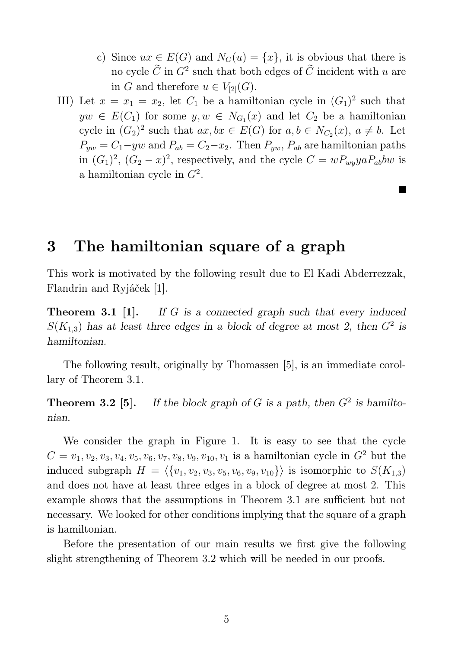c) Since  $ux \in E(G)$  and  $N_G(u) = \{x\}$ , it is obvious that there is no cycle  $\tilde{C}$  in  $G^2$  such that both edges of  $\tilde{C}$  incident with u are in G and therefore  $u \in V_{[2]}(G)$ .

E

III) Let  $x = x_1 = x_2$ , let  $C_1$  be a hamiltonian cycle in  $(G_1)^2$  such that  $yw \in E(C_1)$  for some  $y, w \in N_{G_1}(x)$  and let  $C_2$  be a hamiltonian cycle in  $(G_2)^2$  such that  $ax, bx \in E(G)$  for  $a, b \in N_{C_2}(x), a \neq b$ . Let  $P_{yw} = C_1 - yw$  and  $P_{ab} = C_2 - x_2$ . Then  $P_{yw}$ ,  $P_{ab}$  are hamiltonian paths in  $(G_1)^2$ ,  $(G_2 - x)^2$ , respectively, and the cycle  $C = wP_{wy}yaP_{ab}bw$  is a hamiltonian cycle in  $G^2$ .

## 3 The hamiltonian square of a graph

This work is motivated by the following result due to El Kadi Abderrezzak, Flandrin and Ryjáček [1].

**Theorem 3.1 [1].** If G is a connected graph such that every induced  $S(K_{1,3})$  has at least three edges in a block of degree at most 2, then  $G<sup>2</sup>$  is hamiltonian.

The following result, originally by Thomassen [5], is an immediate corollary of Theorem 3.1.

**Theorem 3.2** [5]. If the block graph of G is a path, then  $G^2$  is hamiltonian.

We consider the graph in Figure 1. It is easy to see that the cycle  $C = v_1, v_2, v_3, v_4, v_5, v_6, v_7, v_8, v_9, v_{10}, v_1$  is a hamiltonian cycle in  $G^2$  but the induced subgraph  $H = \langle \{v_1, v_2, v_3, v_5, v_6, v_9, v_{10}\} \rangle$  is isomorphic to  $S(K_{1,3})$ and does not have at least three edges in a block of degree at most 2. This example shows that the assumptions in Theorem 3.1 are sufficient but not necessary. We looked for other conditions implying that the square of a graph is hamiltonian.

Before the presentation of our main results we first give the following slight strengthening of Theorem 3.2 which will be needed in our proofs.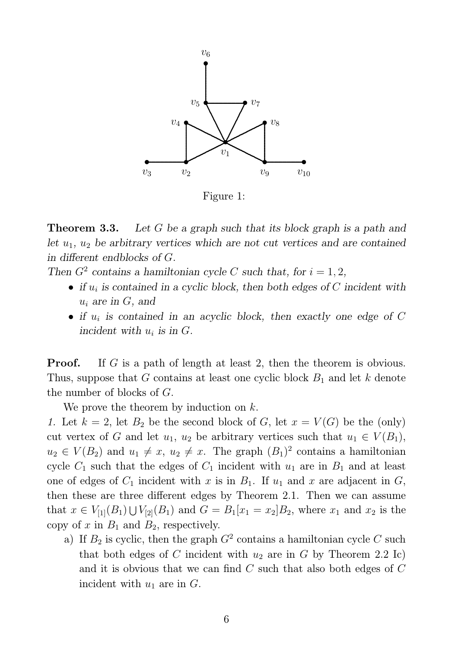

Figure 1:

**Theorem 3.3.** Let G be a graph such that its block graph is a path and let  $u_1, u_2$  be arbitrary vertices which are not cut vertices and are contained in different endblocks of G.

Then  $G^2$  contains a hamiltonian cycle C such that, for  $i = 1, 2$ ,

- if  $u_i$  is contained in a cyclic block, then both edges of C incident with  $u_i$  are in  $G$ , and
- if  $u_i$  is contained in an acyclic block, then exactly one edge of C incident with  $u_i$  is in  $G$ .

**Proof.** If G is a path of length at least 2, then the theorem is obvious. Thus, suppose that G contains at least one cyclic block  $B_1$  and let k denote the number of blocks of G.

We prove the theorem by induction on k.

*1.* Let  $k = 2$ , let  $B_2$  be the second block of G, let  $x = V(G)$  be the (only) cut vertex of G and let  $u_1, u_2$  be arbitrary vertices such that  $u_1 \in V(B_1)$ ,  $u_2 \in V(B_2)$  and  $u_1 \neq x$ ,  $u_2 \neq x$ . The graph  $(B_1)^2$  contains a hamiltonian cycle  $C_1$  such that the edges of  $C_1$  incident with  $u_1$  are in  $B_1$  and at least one of edges of  $C_1$  incident with x is in  $B_1$ . If  $u_1$  and x are adjacent in  $G$ , then these are three different edges by Theorem 2.1. Then we can assume that  $x \in V_{[1]}(B_1) \cup V_{[2]}(B_1)$  and  $G = B_1[x_1 = x_2]B_2$ , where  $x_1$  and  $x_2$  is the copy of  $x$  in  $B_1$  and  $B_2$ , respectively.

a) If  $B_2$  is cyclic, then the graph  $G^2$  contains a hamiltonian cycle C such that both edges of C incident with  $u_2$  are in G by Theorem 2.2 Ic) and it is obvious that we can find C such that also both edges of C incident with  $u_1$  are in  $G$ .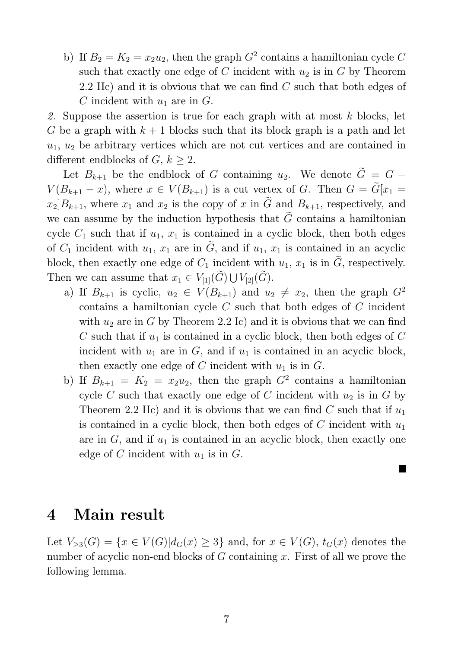b) If  $B_2 = K_2 = x_2 u_2$ , then the graph  $G^2$  contains a hamiltonian cycle C such that exactly one edge of C incident with  $u_2$  is in G by Theorem 2.2 IIc) and it is obvious that we can find C such that both edges of C incident with  $u_1$  are in G.

*2.* Suppose the assertion is true for each graph with at most k blocks, let G be a graph with  $k + 1$  blocks such that its block graph is a path and let  $u_1, u_2$  be arbitrary vertices which are not cut vertices and are contained in different endblocks of  $G, k \geq 2$ .

Let  $B_{k+1}$  be the endblock of G containing  $u_2$ . We denote  $\tilde{G} = G V(B_{k+1}-x)$ , where  $x \in V(B_{k+1})$  is a cut vertex of G. Then  $G = \tilde{G}[x_1 =$  $x_2]B_{k+1}$ , where  $x_1$  and  $x_2$  is the copy of x in  $\tilde{G}$  and  $B_{k+1}$ , respectively, and we can assume by the induction hypothesis that  $\tilde{G}$  contains a hamiltonian cycle  $C_1$  such that if  $u_1, x_1$  is contained in a cyclic block, then both edges of  $C_1$  incident with  $u_1, x_1$  are in  $\tilde{G}$ , and if  $u_1, x_1$  is contained in an acyclic block, then exactly one edge of  $C_1$  incident with  $u_1, x_1$  is in  $\tilde{G}$ , respectively. Then we can assume that  $x_1 \in V_{[1]}(\widetilde{G}) \cup V_{[2]}(\widetilde{G})$ .

- a) If  $B_{k+1}$  is cyclic,  $u_2 \in V(B_{k+1})$  and  $u_2 \neq x_2$ , then the graph  $G^2$ contains a hamiltonian cycle C such that both edges of C incident with  $u_2$  are in G by Theorem 2.2 Ic) and it is obvious that we can find C such that if  $u_1$  is contained in a cyclic block, then both edges of C incident with  $u_1$  are in  $G$ , and if  $u_1$  is contained in an acyclic block, then exactly one edge of C incident with  $u_1$  is in G.
- b) If  $B_{k+1} = K_2 = x_2 u_2$ , then the graph  $G^2$  contains a hamiltonian cycle  $C$  such that exactly one edge of  $C$  incident with  $u_2$  is in  $G$  by Theorem 2.2 IIc) and it is obvious that we can find C such that if  $u_1$ is contained in a cyclic block, then both edges of  $C$  incident with  $u_1$ are in  $G$ , and if  $u_1$  is contained in an acyclic block, then exactly one edge of C incident with  $u_1$  is in G.

#### 4 Main result

Let  $V_{\geq 3}(G) = \{x \in V(G)|d_G(x) \geq 3\}$  and, for  $x \in V(G)$ ,  $t_G(x)$  denotes the number of acyclic non-end blocks of  $G$  containing  $x$ . First of all we prove the following lemma.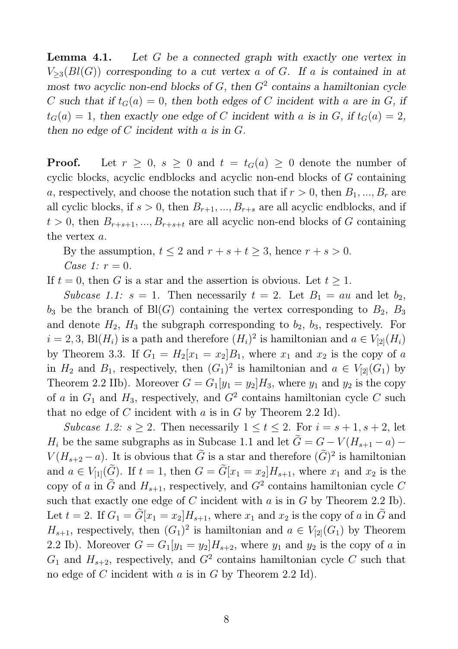Lemma 4.1. Let G be a connected graph with exactly one vertex in  $V_{\geq 3}(Bl(G))$  corresponding to a cut vertex a of G. If a is contained in at most two acyclic non-end blocks of  $G$ , then  $G<sup>2</sup>$  contains a hamiltonian cycle C such that if  $t_G(a) = 0$ , then both edges of C incident with a are in G, if  $t_G(a) = 1$ , then exactly one edge of C incident with a is in G, if  $t_G(a) = 2$ , then no edge of  $C$  incident with  $a$  is in  $G$ .

**Proof.** Let  $r \geq 0$ ,  $s \geq 0$  and  $t = t_G(a) \geq 0$  denote the number of cyclic blocks, acyclic endblocks and acyclic non-end blocks of G containing a, respectively, and choose the notation such that if  $r > 0$ , then  $B_1, ..., B_r$  are all cyclic blocks, if  $s > 0$ , then  $B_{r+1},..., B_{r+s}$  are all acyclic endblocks, and if  $t > 0$ , then  $B_{r+s+1},..., B_{r+s+t}$  are all acyclic non-end blocks of G containing the vertex a.

By the assumption,  $t \leq 2$  and  $r + s + t \geq 3$ , hence  $r + s > 0$ .

*Case 1:*  $r = 0$ *.* 

If  $t = 0$ , then G is a star and the assertion is obvious. Let  $t \geq 1$ .

*Subcase 1.1:*  $s = 1$ . Then necessarily  $t = 2$ . Let  $B_1 = au$  and let  $b_2$ ,  $b_3$  be the branch of Bl(G) containing the vertex corresponding to  $B_2$ ,  $B_3$ and denote  $H_2$ ,  $H_3$  the subgraph corresponding to  $b_2$ ,  $b_3$ , respectively. For  $i = 2, 3$ , Bl $(H_i)$  is a path and therefore  $(H_i)^2$  is hamiltonian and  $a \in V_{[2]}(H_i)$ by Theorem 3.3. If  $G_1 = H_2[x_1 = x_2]B_1$ , where  $x_1$  and  $x_2$  is the copy of a in  $H_2$  and  $B_1$ , respectively, then  $(G_1)^2$  is hamiltonian and  $a \in V_{[2]}(G_1)$  by Theorem 2.2 IIb). Moreover  $G = G_1[y_1 = y_2]H_3$ , where  $y_1$  and  $y_2$  is the copy of a in  $G_1$  and  $H_3$ , respectively, and  $G^2$  contains hamiltonian cycle C such that no edge of C incident with a is in G by Theorem 2.2 Id).

*Subcase 1.2:*  $s \geq 2$ . Then necessarily  $1 \leq t \leq 2$ . For  $i = s + 1, s + 2$ , let  $H_i$  be the same subgraphs as in Subcase 1.1 and let  $\tilde{G} = G - V(H_{s+1} - a)$  $V(H_{s+2}-a)$ . It is obvious that  $\tilde{G}$  is a star and therefore  $(\tilde{G})^2$  is hamiltonian and  $a \in V_{[1]}(\widetilde{G})$ . If  $t = 1$ , then  $G = \widetilde{G}[x_1 = x_2]H_{s+1}$ , where  $x_1$  and  $x_2$  is the copy of a in  $\tilde{G}$  and  $H_{s+1}$ , respectively, and  $G^2$  contains hamiltonian cycle C such that exactly one edge of  $C$  incident with  $a$  is in  $G$  by Theorem 2.2 Ib). Let  $t = 2$ . If  $G_1 = \tilde{G}[x_1 = x_2]H_{s+1}$ , where  $x_1$  and  $x_2$  is the copy of a in  $\tilde{G}$  and  $H_{s+1}$ , respectively, then  $(G_1)^2$  is hamiltonian and  $a \in V_{[2]}(G_1)$  by Theorem 2.2 Ib). Moreover  $G = G_1[y_1 = y_2]H_{s+2}$ , where  $y_1$  and  $y_2$  is the copy of a in  $G_1$  and  $H_{s+2}$ , respectively, and  $G^2$  contains hamiltonian cycle C such that no edge of  $C$  incident with  $a$  is in  $G$  by Theorem 2.2 Id).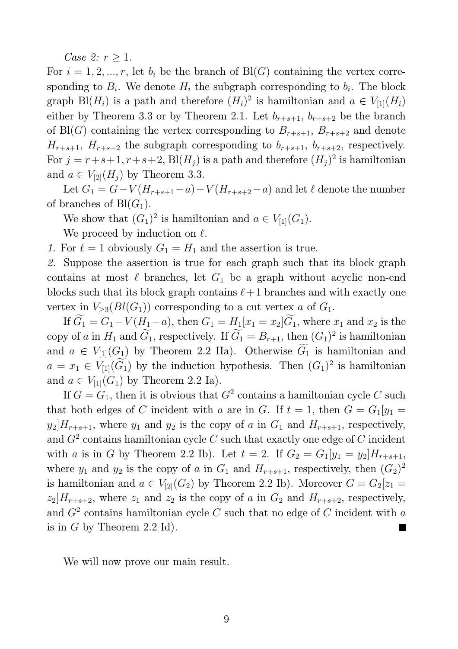*Case 2:*  $r \geq 1$ *.* 

For  $i = 1, 2, ..., r$ , let  $b_i$  be the branch of Bl(G) containing the vertex corresponding to  $B_i$ . We denote  $H_i$  the subgraph corresponding to  $b_i$ . The block graph Bl( $H_i$ ) is a path and therefore  $(H_i)^2$  is hamiltonian and  $a \in V_{[1]}(H_i)$ either by Theorem 3.3 or by Theorem 2.1. Let  $b_{r+s+1}$ ,  $b_{r+s+2}$  be the branch of Bl(G) containing the vertex corresponding to  $B_{r+s+1}$ ,  $B_{r+s+2}$  and denote  $H_{r+s+1}$ ,  $H_{r+s+2}$  the subgraph corresponding to  $b_{r+s+1}$ ,  $b_{r+s+2}$ , respectively. For  $j = r+s+1, r+s+2$ , Bl $(H_j)$  is a path and therefore  $(H_j)^2$  is hamiltonian and  $a \in V_{2}([H_1])$  by Theorem 3.3.

Let  $G_1 = G - V(H_{r+s+1} - a) - V(H_{r+s+2} - a)$  and let  $\ell$  denote the number of branches of  $Bl(G_1)$ .

We show that  $(G_1)^2$  is hamiltonian and  $a \in V_{[1]}(G_1)$ .

We proceed by induction on  $\ell$ .

*1.* For  $\ell = 1$  obviously  $G_1 = H_1$  and the assertion is true.

*2.* Suppose the assertion is true for each graph such that its block graph contains at most  $\ell$  branches, let  $G_1$  be a graph without acyclic non-end blocks such that its block graph contains  $\ell+1$  branches and with exactly one vertex in  $V_{\geq 3}(Bl(G_1))$  corresponding to a cut vertex a of  $G_1$ .

If  $\widetilde{G}_1 = G_1 - V(H_1 - a)$ , then  $G_1 = H_1[x_1 = x_2]\widetilde{G}_1$ , where  $x_1$  and  $x_2$  is the copy of a in  $H_1$  and  $\tilde{G}_1$ , respectively. If  $\tilde{G}_1 = B_{r+1}$ , then  $(G_1)^2$  is hamiltonian and  $a \in V_{[1]}(G_1)$  by Theorem 2.2 IIa). Otherwise  $\widetilde{G}_1$  is hamiltonian and  $a = x_1 \in V_{[1]}(\tilde{G}_1)$  by the induction hypothesis. Then  $(G_1)^2$  is hamiltonian and  $a \in V_{[1]}(G_1)$  by Theorem 2.2 Ia).

If  $G = G_1$ , then it is obvious that  $G^2$  contains a hamiltonian cycle C such that both edges of C incident with a are in G. If  $t = 1$ , then  $G = G_1[y_1 =$  $y_2|H_{r+s+1}$ , where  $y_1$  and  $y_2$  is the copy of a in  $G_1$  and  $H_{r+s+1}$ , respectively, and  $G^2$  contains hamiltonian cycle C such that exactly one edge of C incident with a is in G by Theorem 2.2 Ib). Let  $t = 2$ . If  $G_2 = G_1[y_1 = y_2]H_{r+s+1}$ , where  $y_1$  and  $y_2$  is the copy of a in  $G_1$  and  $H_{r+s+1}$ , respectively, then  $(G_2)^2$ is hamiltonian and  $a \in V_{[2]}(G_2)$  by Theorem 2.2 Ib). Moreover  $G = G_2[z_1 =$  $z_2$ ,  $H_{r+s+2}$ , where  $z_1$  and  $z_2$  is the copy of a in  $G_2$  and  $H_{r+s+2}$ , respectively, and  $G^2$  contains hamiltonian cycle C such that no edge of C incident with a is in  $G$  by Theorem 2.2 Id).

We will now prove our main result.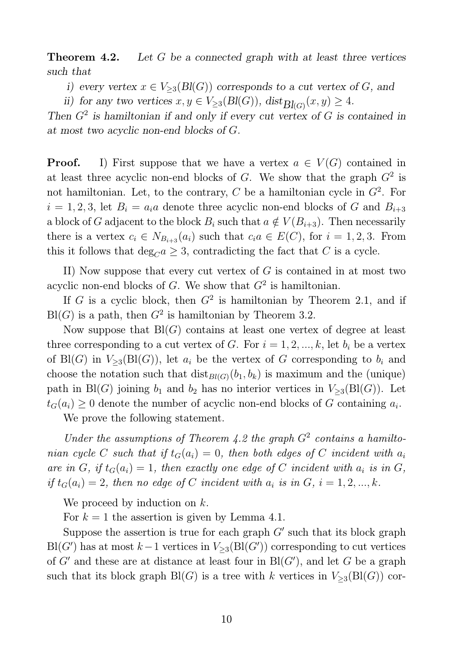**Theorem 4.2.** Let G be a connected graph with at least three vertices such that

i) every vertex  $x \in V_{\geq 3}(Bl(G))$  corresponds to a cut vertex of G, and

ii) for any two vertices  $x, y \in V_{\geq 3}(Bl(G)), \text{dist}_{Bl(G)}(x, y) \geq 4.$ 

Then  $G<sup>2</sup>$  is hamiltonian if and only if every cut vertex of G is contained in at most two acyclic non-end blocks of G.

**Proof.** I) First suppose that we have a vertex  $a \in V(G)$  contained in at least three acyclic non-end blocks of  $G$ . We show that the graph  $G<sup>2</sup>$  is not hamiltonian. Let, to the contrary,  $C$  be a hamiltonian cycle in  $G^2$ . For  $i = 1, 2, 3$ , let  $B_i = a_i a$  denote three acyclic non-end blocks of G and  $B_{i+3}$ a block of G adjacent to the block  $B_i$  such that  $a \notin V(B_{i+3})$ . Then necessarily there is a vertex  $c_i \in N_{B_{i+3}}(a_i)$  such that  $c_i a \in E(C)$ , for  $i = 1, 2, 3$ . From this it follows that  $\deg_C a \geq 3$ , contradicting the fact that C is a cycle.

II) Now suppose that every cut vertex of  $G$  is contained in at most two acyclic non-end blocks of  $G$ . We show that  $G<sup>2</sup>$  is hamiltonian.

If G is a cyclic block, then  $G^2$  is hamiltonian by Theorem 2.1, and if  $Bl(G)$  is a path, then  $G^2$  is hamiltonian by Theorem 3.2.

Now suppose that  $Bl(G)$  contains at least one vertex of degree at least three corresponding to a cut vertex of G. For  $i = 1, 2, ..., k$ , let  $b_i$  be a vertex of Bl(G) in  $V_{\geq 3}(\text{Bl}(G))$ , let  $a_i$  be the vertex of G corresponding to  $b_i$  and choose the notation such that  $dist_{Bl(G)}(b_1, b_k)$  is maximum and the (unique) path in Bl(G) joining  $b_1$  and  $b_2$  has no interior vertices in  $V_{\geq 3}(\text{Bl}(G))$ . Let  $t_G(a_i) \geq 0$  denote the number of acyclic non-end blocks of G containing  $a_i$ .

We prove the following statement.

Under the assumptions of Theorem  $4.2$  the graph  $G<sup>2</sup>$  contains a hamilto*nian cycle* C *such that if*  $t_G(a_i) = 0$ *, then both edges of* C *incident with*  $a_i$ are in G, if  $t_G(a_i) = 1$ , then exactly one edge of C incident with  $a_i$  is in G, *if*  $t_G(a_i) = 2$ , then no edge of C incident with  $a_i$  is in  $G$ ,  $i = 1, 2, ..., k$ .

We proceed by induction on k.

For  $k = 1$  the assertion is given by Lemma 4.1.

Suppose the assertion is true for each graph  $G'$  such that its block graph Bl(G') has at most  $k-1$  vertices in  $V_{\geq 3}(\text{Bl}(G'))$  corresponding to cut vertices of  $G'$  and these are at distance at least four in  $\text{Bl}(G')$ , and let G be a graph such that its block graph  $\text{Bl}(G)$  is a tree with k vertices in  $V_{\geq 3}(\text{Bl}(G))$  cor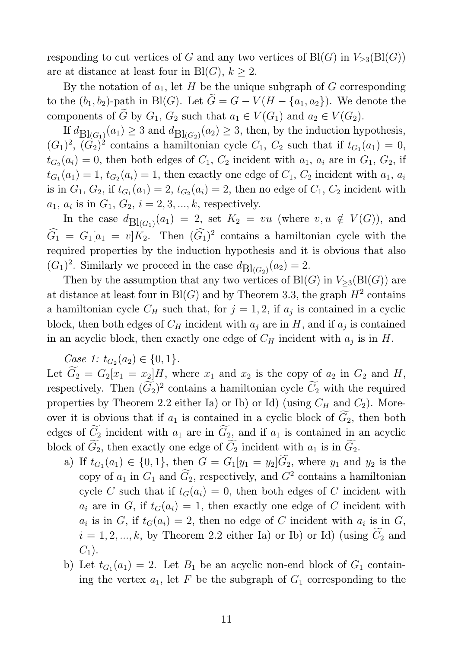responding to cut vertices of G and any two vertices of  $\text{Bl}(G)$  in  $V_{\geq 3}(\text{Bl}(G))$ are at distance at least four in Bl(G),  $k \geq 2$ .

By the notation of  $a_1$ , let H be the unique subgraph of G corresponding to the  $(b_1, b_2)$ -path in Bl(G). Let  $\tilde{G} = G - V(H - \{a_1, a_2\})$ . We denote the components of  $\tilde{G}$  by  $G_1, G_2$  such that  $a_1 \in V(G_1)$  and  $a_2 \in V(G_2)$ .

If  $d_{\text{Bl}(G_1)}(a_1) \geq 3$  and  $d_{\text{Bl}(G_2)}(a_2) \geq 3$ , then, by the induction hypothesis,  $(G_1)^2$ ,  $(G_2)^2$  contains a hamiltonian cycle  $C_1$ ,  $C_2$  such that if  $t_{G_1}(a_1) = 0$ ,  $t_{G_2}(a_i) = 0$ , then both edges of  $C_1$ ,  $C_2$  incident with  $a_1$ ,  $a_i$  are in  $G_1$ ,  $G_2$ , if  $t_{G_1}(a_1) = 1$ ,  $t_{G_2}(a_i) = 1$ , then exactly one edge of  $C_1$ ,  $C_2$  incident with  $a_1$ ,  $a_i$ is in  $G_1, G_2$ , if  $t_{G_1}(a_1) = 2, t_{G_2}(a_i) = 2$ , then no edge of  $C_1, C_2$  incident with  $a_1, a_i$  is in  $G_1, G_2, i = 2, 3, ..., k$ , respectively.

In the case  $d\text{Bl}_{(G_1)}(a_1) = 2$ , set  $K_2 = vu$  (where  $v, u \notin V(G)$ ), and  $\widehat{G}_1 = G_1[a_1 = v]K_2$ . Then  $(\widehat{G}_1)^2$  contains a hamiltonian cycle with the required properties by the induction hypothesis and it is obvious that also  $(G_1)^2$ . Similarly we proceed in the case  $d_{\text{Bl}(G_2)}(a_2) = 2$ .

Then by the assumption that any two vertices of  $\text{Bl}(G)$  in  $V_{\geq 3}(\text{Bl}(G))$  are at distance at least four in  $\text{Bl}(G)$  and by Theorem 3.3, the graph  $H^2$  contains a hamiltonian cycle  $C_H$  such that, for  $j = 1, 2$ , if  $a_j$  is contained in a cyclic block, then both edges of  $C_H$  incident with  $a_j$  are in H, and if  $a_j$  is contained in an acyclic block, then exactly one edge of  $C_H$  incident with  $a_j$  is in  $H$ .

*Case 1:*  $t_{G_2}(a_2) \in \{0, 1\}.$ 

Let  $\widetilde{G}_2 = G_2[x_1 = x_2]H$ , where  $x_1$  and  $x_2$  is the copy of  $a_2$  in  $G_2$  and  $H$ , respectively. Then  $(\widetilde{G}_2)^2$  contains a hamiltonian cycle  $\widetilde{C}_2$  with the required properties by Theorem 2.2 either Ia) or Ib) or Id) (using  $C_H$  and  $C_2$ ). Moreover it is obvious that if  $a_1$  is contained in a cyclic block of  $G_2$ , then both edges of  $\widetilde{C}_2$  incident with  $a_1$  are in  $\widetilde{G}_2$ , and if  $a_1$  is contained in an acyclic block of  $\widetilde{G}_2$ , then exactly one edge of  $\widetilde{C}_2$  incident with  $a_1$  is in  $\widetilde{G}_2$ .

- a) If  $t_{G_1}(a_1) \in \{0, 1\}$ , then  $G = G_1[y_1 = y_2]G_2$ , where  $y_1$  and  $y_2$  is the copy of  $a_1$  in  $G_1$  and  $\overline{G_2}$ , respectively, and  $G^2$  contains a hamiltonian cycle C such that if  $t_G(a_i) = 0$ , then both edges of C incident with  $a_i$  are in G, if  $t_G(a_i) = 1$ , then exactly one edge of C incident with  $a_i$  is in  $G$ , if  $t_G(a_i) = 2$ , then no edge of C incident with  $a_i$  is in  $G$ ,  $i = 1, 2, ..., k$ , by Theorem 2.2 either Ia) or Ib) or Id) (using  $\widetilde{C}_2$  and  $C_1$ ).
- b) Let  $t_{G_1}(a_1) = 2$ . Let  $B_1$  be an acyclic non-end block of  $G_1$  containing the vertex  $a_1$ , let F be the subgraph of  $G_1$  corresponding to the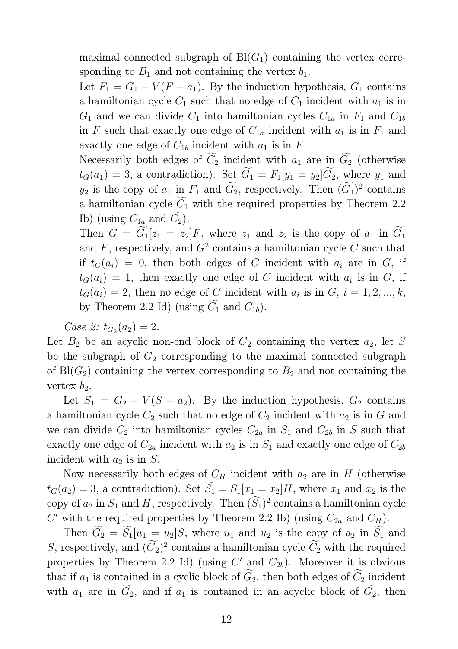maximal connected subgraph of  $Bl(G_1)$  containing the vertex corresponding to  $B_1$  and not containing the vertex  $b_1$ .

Let  $F_1 = G_1 - V(F - a_1)$ . By the induction hypothesis,  $G_1$  contains a hamiltonian cycle  $C_1$  such that no edge of  $C_1$  incident with  $a_1$  is in  $G_1$  and we can divide  $C_1$  into hamiltonian cycles  $C_{1a}$  in  $F_1$  and  $C_{1b}$ in F such that exactly one edge of  $C_{1a}$  incident with  $a_1$  is in  $F_1$  and exactly one edge of  $C_{1b}$  incident with  $a_1$  is in F.

Necessarily both edges of  $\widetilde{C}_2$  incident with  $a_1$  are in  $\widetilde{G}_2$  (otherwise  $t_G(a_1) = 3$ , a contradiction). Set  $\widetilde{G}_1 = F_1[y_1 = y_2]\widetilde{G}_2$ , where  $y_1$  and  $y_2$  is the copy of  $a_1$  in  $F_1$  and  $G_2$ , respectively. Then  $(G_1)^2$  contains a hamiltonian cycle  $\widetilde{C}_1$  with the required properties by Theorem 2.2 Ib) (using  $C_{1a}$  and  $\widetilde{C}_2$ ).

Then  $G = \widetilde{G}_1[z_1 = z_2]F$ , where  $z_1$  and  $z_2$  is the copy of  $a_1$  in  $\widetilde{G}_1$ and  $F$ , respectively, and  $G<sup>2</sup>$  contains a hamiltonian cycle  $C$  such that if  $t_G(a_i) = 0$ , then both edges of C incident with  $a_i$  are in G, if  $t_G(a_i) = 1$ , then exactly one edge of C incident with  $a_i$  is in G, if  $t_G(a_i) = 2$ , then no edge of C incident with  $a_i$  is in  $G, i = 1, 2, ..., k$ , by Theorem 2.2 Id) (using  $C_1$  and  $C_{1b}$ ).

*Case 2:*  $t_{G_2}(a_2) = 2$ *.* 

Let  $B_2$  be an acyclic non-end block of  $G_2$  containing the vertex  $a_2$ , let S be the subgraph of  $G_2$  corresponding to the maximal connected subgraph of  $\text{Bl}(G_2)$  containing the vertex corresponding to  $B_2$  and not containing the vertex  $b_2$ .

Let  $S_1 = G_2 - V(S - a_2)$ . By the induction hypothesis,  $G_2$  contains a hamiltonian cycle  $C_2$  such that no edge of  $C_2$  incident with  $a_2$  is in G and we can divide  $C_2$  into hamiltonian cycles  $C_{2a}$  in  $S_1$  and  $C_{2b}$  in S such that exactly one edge of  $C_{2a}$  incident with  $a_2$  is in  $S_1$  and exactly one edge of  $C_{2b}$ incident with  $a_2$  is in S.

Now necessarily both edges of  $C_H$  incident with  $a_2$  are in H (otherwise  $t_G(a_2) = 3$ , a contradiction). Set  $\widetilde{S}_1 = S_1[x_1 = x_2]H$ , where  $x_1$  and  $x_2$  is the copy of  $a_2$  in  $S_1$  and H, respectively. Then  $(S_1)^2$  contains a hamiltonian cycle C' with the required properties by Theorem 2.2 Ib) (using  $C_{2a}$  and  $C_H$ ).

Then  $\widetilde{G}_2 = \widetilde{S}_1[u_1 = u_2]S$ , where  $u_1$  and  $u_2$  is the copy of  $a_2$  in  $\widetilde{S}_1$  and S, respectively, and  $(\tilde{G}_2)^2$  contains a hamiltonian cycle  $\tilde{C}_2$  with the required properties by Theorem 2.2 Id) (using  $C'$  and  $C_{2b}$ ). Moreover it is obvious that if  $a_1$  is contained in a cyclic block of  $\widetilde{G}_2$ , then both edges of  $\widetilde{C}_2$  incident with  $a_1$  are in  $\widetilde{G}_2$ , and if  $a_1$  is contained in an acyclic block of  $\widetilde{G}_2$ , then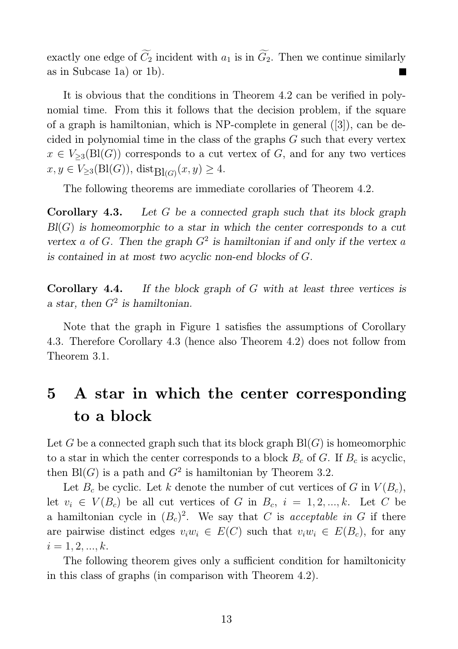exactly one edge of  $\widetilde{C}_2$  incident with  $a_1$  is in  $\widetilde{G}_2$ . Then we continue similarly as in Subcase 1a) or 1b).

It is obvious that the conditions in Theorem 4.2 can be verified in polynomial time. From this it follows that the decision problem, if the square of a graph is hamiltonian, which is NP-complete in general ([3]), can be decided in polynomial time in the class of the graphs  $G$  such that every vertex  $x \in V_{\geq 3}(\text{Bl}(G))$  corresponds to a cut vertex of G, and for any two vertices  $x, y \in V_{\geq 3}(\mathrm{Bl}(G)), \mathrm{dist}_{\mathrm{Bl}(G)}(x, y) \geq 4.$ 

The following theorems are immediate corollaries of Theorem 4.2.

Corollary 4.3. Let G be a connected graph such that its block graph  $Bl(G)$  is homeomorphic to a star in which the center corresponds to a cut vertex a of G. Then the graph  $G^2$  is hamiltonian if and only if the vertex a is contained in at most two acyclic non-end blocks of G.

Corollary 4.4. If the block graph of G with at least three vertices is a star, then  $G^2$  is hamiltonian.

Note that the graph in Figure 1 satisfies the assumptions of Corollary 4.3. Therefore Corollary 4.3 (hence also Theorem 4.2) does not follow from Theorem 3.1.

## 5 A star in which the center corresponding to a block

Let G be a connected graph such that its block graph  $Bl(G)$  is homeomorphic to a star in which the center corresponds to a block  $B_c$  of G. If  $B_c$  is acyclic, then  $\text{Bl}(G)$  is a path and  $G^2$  is hamiltonian by Theorem 3.2.

Let  $B_c$  be cyclic. Let k denote the number of cut vertices of G in  $V(B_c)$ , let  $v_i \in V(B_c)$  be all cut vertices of G in  $B_c$ ,  $i = 1, 2, ..., k$ . Let C be a hamiltonian cycle in  $(B<sub>c</sub>)<sup>2</sup>$ . We say that C is *acceptable in* G if there are pairwise distinct edges  $v_iw_i \in E(C)$  such that  $v_iw_i \in E(B_c)$ , for any  $i = 1, 2, ..., k.$ 

The following theorem gives only a sufficient condition for hamiltonicity in this class of graphs (in comparison with Theorem 4.2).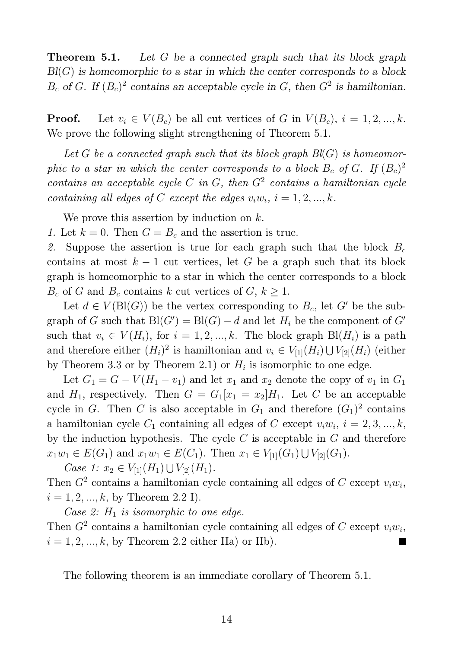**Theorem 5.1.** Let G be a connected graph such that its block graph  $Bl(G)$  is homeomorphic to a star in which the center corresponds to a block  $B_c$  of G. If  $(B_c)^2$  contains an acceptable cycle in G, then  $G^2$  is hamiltonian.

**Proof.** Let  $v_i \in V(B_c)$  be all cut vertices of G in  $V(B_c)$ ,  $i = 1, 2, ..., k$ . We prove the following slight strengthening of Theorem 5.1.

*Let* G *be a connected graph such that its block graph Bl*(G) *is homeomorphic to a star in which the center corresponds to a block*  $B_c$  *of*  $G$ *. If*  $(B_c)^2$ *contains an acceptable cycle* C *in* G*, then* G<sup>2</sup> *contains a hamiltonian cycle containing all edges of* C *except the edges*  $v_i w_i$ ,  $i = 1, 2, ..., k$ .

We prove this assertion by induction on  $k$ .

*1.* Let  $k = 0$ . Then  $G = B_c$  and the assertion is true.

2. Suppose the assertion is true for each graph such that the block  $B_c$ contains at most  $k - 1$  cut vertices, let G be a graph such that its block graph is homeomorphic to a star in which the center corresponds to a block  $B_c$  of G and  $B_c$  contains k cut vertices of  $G, k \geq 1$ .

Let  $d \in V(\text{Bl}(G))$  be the vertex corresponding to  $B_c$ , let G' be the subgraph of G such that  $Bl(G') = Bl(G) - d$  and let  $H_i$  be the component of G' such that  $v_i \in V(H_i)$ , for  $i = 1, 2, ..., k$ . The block graph  $\text{Bl}(H_i)$  is a path and therefore either  $(H_i)^2$  is hamiltonian and  $v_i \in V_{[1]}(H_i) \cup V_{[2]}(H_i)$  (either by Theorem 3.3 or by Theorem 2.1) or  $H_i$  is isomorphic to one edge.

Let  $G_1 = G - V(H_1 - v_1)$  and let  $x_1$  and  $x_2$  denote the copy of  $v_1$  in  $G_1$ and  $H_1$ , respectively. Then  $G = G_1[x_1 = x_2]H_1$ . Let C be an acceptable cycle in G. Then C is also acceptable in  $G_1$  and therefore  $(G_1)^2$  contains a hamiltonian cycle  $C_1$  containing all edges of C except  $v_i w_i$ ,  $i = 2, 3, ..., k$ , by the induction hypothesis. The cycle  $C$  is acceptable in  $G$  and therefore  $x_1w_1 \in E(G_1)$  and  $x_1w_1 \in E(C_1)$ . Then  $x_1 \in V_{[1]}(G_1) \cup V_{[2]}(G_1)$ .

*Case 1:*  $x_2 \in V_{[1]}(H_1) \cup V_{[2]}(H_1)$ .

Then  $G^2$  contains a hamiltonian cycle containing all edges of C except  $v_i w_i$ ,  $i = 1, 2, ..., k$ , by Theorem 2.2 I).

*Case 2:*  $H_1$  *is isomorphic to one edge.* 

Then  $G^2$  contains a hamiltonian cycle containing all edges of C except  $v_i w_i$ ,  $i = 1, 2, ..., k$ , by Theorem 2.2 either IIa) or IIb).

The following theorem is an immediate corollary of Theorem 5.1.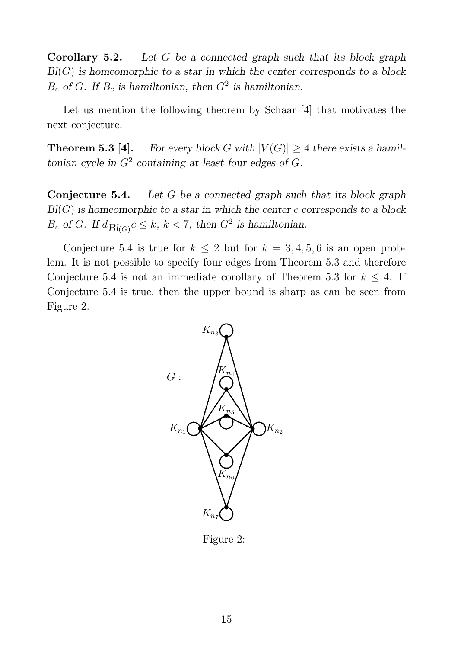**Corollary 5.2.** Let  $G$  be a connected graph such that its block graph  $Bl(G)$  is homeomorphic to a star in which the center corresponds to a block  $B_c$  of G. If  $B_c$  is hamiltonian, then  $G<sup>2</sup>$  is hamiltonian.

Let us mention the following theorem by Schaar [4] that motivates the next conjecture.

**Theorem 5.3 [4].** For every block G with  $|V(G)| \geq 4$  there exists a hamiltonian cycle in  $G^2$  containing at least four edges of  $G$ .

**Conjecture 5.4.** Let  $G$  be a connected graph such that its block graph  $Bl(G)$  is homeomorphic to a star in which the center c corresponds to a block  $B_c$  of G. If  $d_{\text{Bl}(G)}c \leq k, k < 7$ , then  $G^2$  is hamiltonian.

Conjecture 5.4 is true for  $k \leq 2$  but for  $k = 3, 4, 5, 6$  is an open problem. It is not possible to specify four edges from Theorem 5.3 and therefore Conjecture 5.4 is not an immediate corollary of Theorem 5.3 for  $k \leq 4$ . If Conjecture 5.4 is true, then the upper bound is sharp as can be seen from Figure 2.



Figure 2: